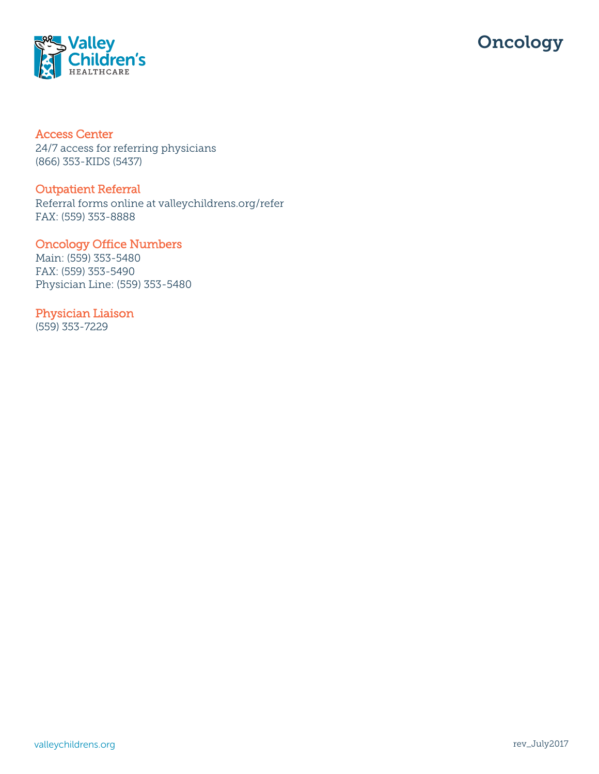



### Access Center

24/7 access for referring physicians (866) 353-KIDS (5437)

#### Outpatient Referral

Referral forms online at valleychildrens.org/refer FAX: (559) 353-8888

## Oncology Office Numbers

Main: (559) 353-5480 FAX: (559) 353-5490 Physician Line: (559) 353-5480

# Physician Liaison

(559) 353-7229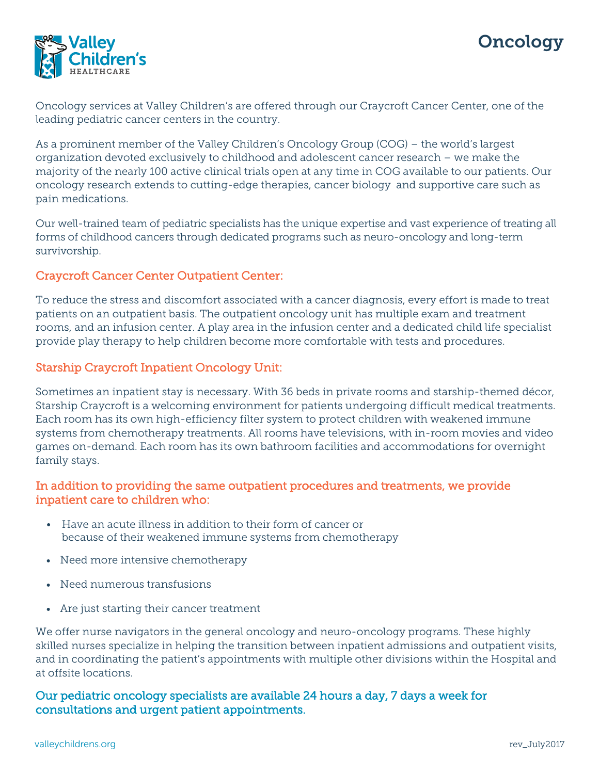



Oncology services at Valley Children's are offered through our Craycroft Cancer Center, one of the leading pediatric cancer centers in the country.

As a prominent member of the Valley Children's Oncology Group (COG) – the world's largest organization devoted exclusively to childhood and adolescent cancer research – we make the majority of the nearly 100 active clinical trials open at any time in COG available to our patients. Our oncology research extends to cutting-edge therapies, cancer biology and supportive care such as pain medications.

Our well-trained team of pediatric specialists has the unique expertise and vast experience of treating all forms of childhood cancers through dedicated programs such as neuro-oncology and long-term survivorship.

#### Craycroft Cancer Center Outpatient Center:

To reduce the stress and discomfort associated with a cancer diagnosis, every effort is made to treat patients on an outpatient basis. The outpatient oncology unit has multiple exam and treatment rooms, and an infusion center. A play area in the infusion center and a dedicated child life specialist provide play therapy to help children become more comfortable with tests and procedures.

#### Starship Craycroft Inpatient Oncology Unit:

Sometimes an inpatient stay is necessary. With 36 beds in private rooms and starship-themed décor, Starship Craycroft is a welcoming environment for patients undergoing difficult medical treatments. Each room has its own high-efficiency filter system to protect children with weakened immune systems from chemotherapy treatments. All rooms have televisions, with in-room movies and video games on-demand. Each room has its own bathroom facilities and accommodations for overnight family stays.

### In addition to providing the same outpatient procedures and treatments, we provide inpatient care to children who:

- Have an acute illness in addition to their form of cancer or because of their weakened immune systems from chemotherapy
- Need more intensive chemotherapy
- Need numerous transfusions
- Are just starting their cancer treatment

We offer nurse navigators in the general oncology and neuro-oncology programs. These highly skilled nurses specialize in helping the transition between inpatient admissions and outpatient visits, and in coordinating the patient's appointments with multiple other divisions within the Hospital and at offsite locations.

## Our pediatric oncology specialists are available 24 hours a day, 7 days a week for consultations and urgent patient appointments.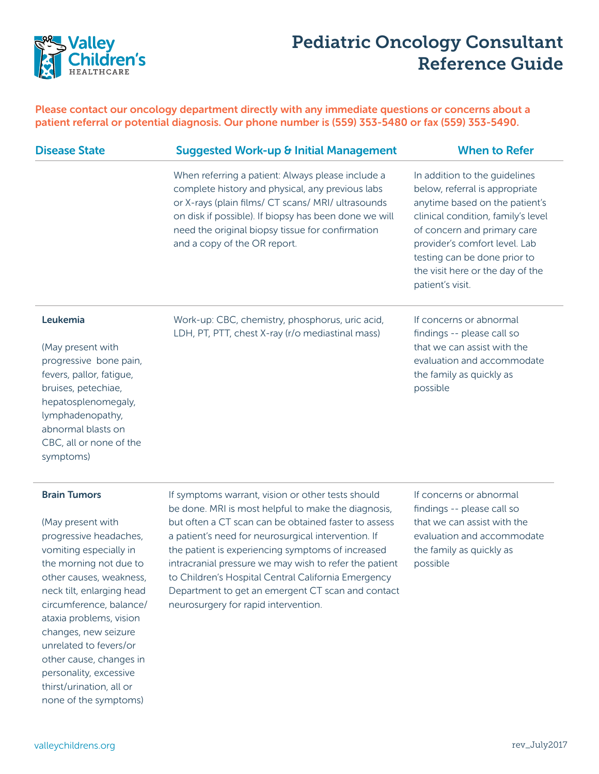

# Pediatric Oncology Consultant Reference Guide

Please contact our oncology department directly with any immediate questions or concerns about a patient referral or potential diagnosis. Our phone number is (559) 353-5480 or fax (559) 353-5490.

| <b>Disease State</b>                                                                                                                                                        | <b>Suggested Work-up &amp; Initial Management</b>                                                                                                                                                                                                                                                        | <b>When to Refer</b>                                                                                                                                                                                                                                                                            |
|-----------------------------------------------------------------------------------------------------------------------------------------------------------------------------|----------------------------------------------------------------------------------------------------------------------------------------------------------------------------------------------------------------------------------------------------------------------------------------------------------|-------------------------------------------------------------------------------------------------------------------------------------------------------------------------------------------------------------------------------------------------------------------------------------------------|
|                                                                                                                                                                             | When referring a patient: Always please include a<br>complete history and physical, any previous labs<br>or X-rays (plain films/ CT scans/ MRI/ ultrasounds<br>on disk if possible). If biopsy has been done we will<br>need the original biopsy tissue for confirmation<br>and a copy of the OR report. | In addition to the guidelines<br>below, referral is appropriate<br>anytime based on the patient's<br>clinical condition, family's level<br>of concern and primary care<br>provider's comfort level. Lab<br>testing can be done prior to<br>the visit here or the day of the<br>patient's visit. |
| Leukemia<br>(May present with<br>progressive bone pain,<br>fevers, pallor, fatigue,<br>bruises, petechiae,<br>hepatosplenomegaly,<br>lymphadenopathy,<br>abnormal blasts on | Work-up: CBC, chemistry, phosphorus, uric acid,<br>LDH, PT, PTT, chest X-ray (r/o mediastinal mass)                                                                                                                                                                                                      | If concerns or abnormal<br>findings -- please call so<br>that we can assist with the<br>evaluation and accommodate<br>the family as quickly as<br>possible                                                                                                                                      |

#### Brain Tumors

symptoms)

CBC, all or none of the

(May present with progressive headaches, vomiting especially in the morning not due to other causes, weakness, neck tilt, enlarging head circumference, balance/ ataxia problems, vision changes, new seizure unrelated to fevers/or other cause, changes in personality, excessive thirst/urination, all or none of the symptoms)

If symptoms warrant, vision or other tests should be done. MRI is most helpful to make the diagnosis, but often a CT scan can be obtained faster to assess a patient's need for neurosurgical intervention. If the patient is experiencing symptoms of increased intracranial pressure we may wish to refer the patient to Children's Hospital Central California Emergency Department to get an emergent CT scan and contact neurosurgery for rapid intervention.

If concerns or abnormal findings -- please call so that we can assist with the evaluation and accommodate the family as quickly as possible